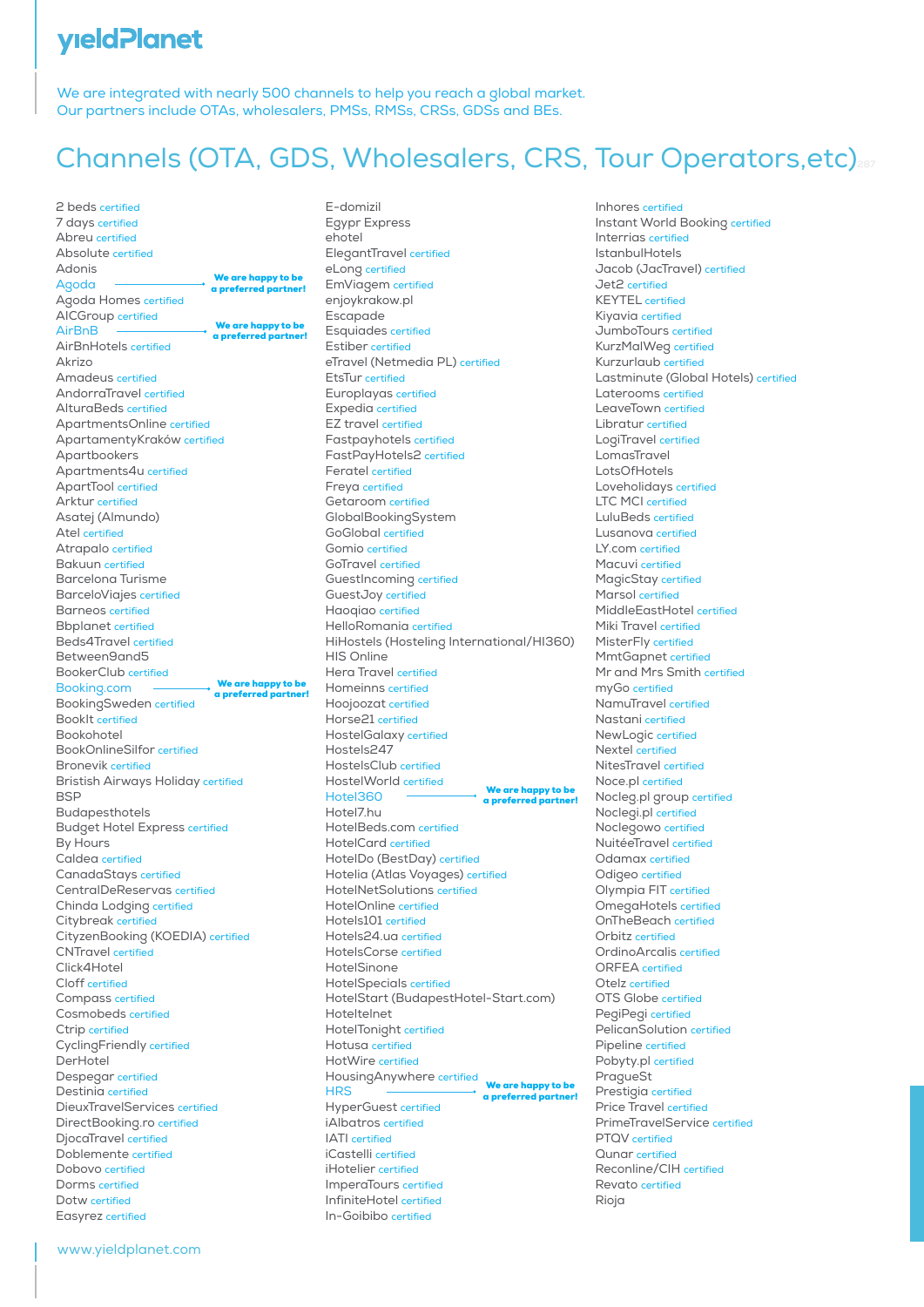#### **yield Planet**

We are integrated with nearly 500 channels to help you reach a global market. Our partners include OTAs, wholesalers, PMSs, RMSs, CRSs, GDSs and BEs.

# Channels (OTA, GDS, Wholesalers, CRS, Tour Operators, etc)

2 beds certified 7 days certified Abreu certified Absolute certified Adonis Agoda Agoda Homes certified AICGroup certified AirBnB AirBnHotels certified Akrizo Amadeus certified AndorraTravel certified AlturaBeds certified ApartmentsOnline certified ApartamentyKraków certified Apartbookers Apartments4u certified ApartTool certified Arktur certified Asatej (Almundo) Atel certified Atrapalo certified Bakuun certified Barcelona Turisme BarceloViajes certified Barneos certified Bbplanet certified Beds4Travel certified Between9and5 BookerClub certified Booking.com BookingSweden certified BookIt certified Bookohotel BookOnlineSilfor certified Bronevik certified Bristish Airways Holiday certified **BSP** Budapesthotels Budget Hotel Express certified By Hours Caldea certified CanadaStays certified CentralDeReservas certified Chinda Lodging certified Citybreak certified CityzenBooking (KOEDIA) certified CNTravel certified Click4Hotel Cloff certified Compass certified Cosmobeds certified Ctrip certified CyclingFriendly certified DerHotel Despegar certified Destinia certified DieuxTravelServices certified DirectBooking.ro certified DjocaTravel certified Doblemente certified Dobovo certified Dorms certified Dotw certified Easyrez certified We are happy to be a preferred partner! We are happy to be a preferred partner! We are happy to be a preferred partner!

E-domizil Egypr Express ehotel ElegantTravel certified eLong certified EmViagem certified enjoykrakow.pl Escapade Esquiades certified Estiber certified eTravel (Netmedia PL) certified EtsTur certified Europlayas certified Expedia certified EZ travel certified Fastpayhotels certified FastPayHotels2 certified Feratel certified Freya certified Getaroom certified GlobalBookingSystem GoGlobal certified Gomio certified GoTravel certified GuestIncoming certified GuestJoy certified Haoqiao certified HelloRomania certified HiHostels (Hosteling International/HI360) HIS Online Hera Travel certified Homeinns certified Hoojoozat certified Horse21 certified HostelGalaxy certified Hostels247 HostelsClub certified HostelWorld certified Hotel360 Hotel7.hu HotelBeds.com certified HotelCard certified HotelDo (BestDay) certified Hotelia (Atlas Voyages) certified HotelNetSolutions certified HotelOnline certified Hotels101 certified Hotels24.ua certified HotelsCorse certified HotelSinone HotelSpecials certified HotelStart (BudapestHotel-Start.com) Hoteltelnet HotelTonight certified Hotusa certified HotWire certified HousingAnywhere certified **HRS** HyperGuest certified iAlbatros certified IATI certified iCastelli certified iHotelier certified ImperaTours certified We are happy to be a preferred p We are happy to be a preferred part

InfiniteHotel certified In-Goibibo certified

Inhores certified Instant World Booking certified Interrias certified IstanbulHotels Jacob (JacTravel) certified Jet2 certified KEYTEL certified Kiyavia certified JumboTours certified KurzMalWeg certified Kurzurlaub certified Lastminute (Global Hotels) certified Laterooms certified LeaveTown certified Libratur certified LogiTravel certified LomasTravel LotsOfHotels Loveholidays certified LTC MCI certified LuluBeds certified Lusanova certified LY.com certified Macuvi certified MagicStay certified Marsol certified MiddleEastHotel certified Miki Travel certified MisterFly certified MmtGapnet certified Mr and Mrs Smith certified myGo certified NamuTravel certified Nastani certified NewLogic certified Nextel certified NitesTravel certified Noce.pl certified Nocleg.pl group certified Noclegi.pl certified Noclegowo certified NuitéeTravel certified Odamax certified Odigeo certified Olympia FIT certified OmegaHotels certified OnTheBeach certified Orbitz certified OrdinoArcalis certified ORFEA certified  $Q_{\text{total}}$  certified OTS Globe certified PegiPegi certified PelicanSolution certified Pipeline certified Pobyty.pl certified PragueSt Prestigia certified Price Travel certified PrimeTravelService certified PTQV certified Qunar certified Reconline/CIH certified Revato certified Rioja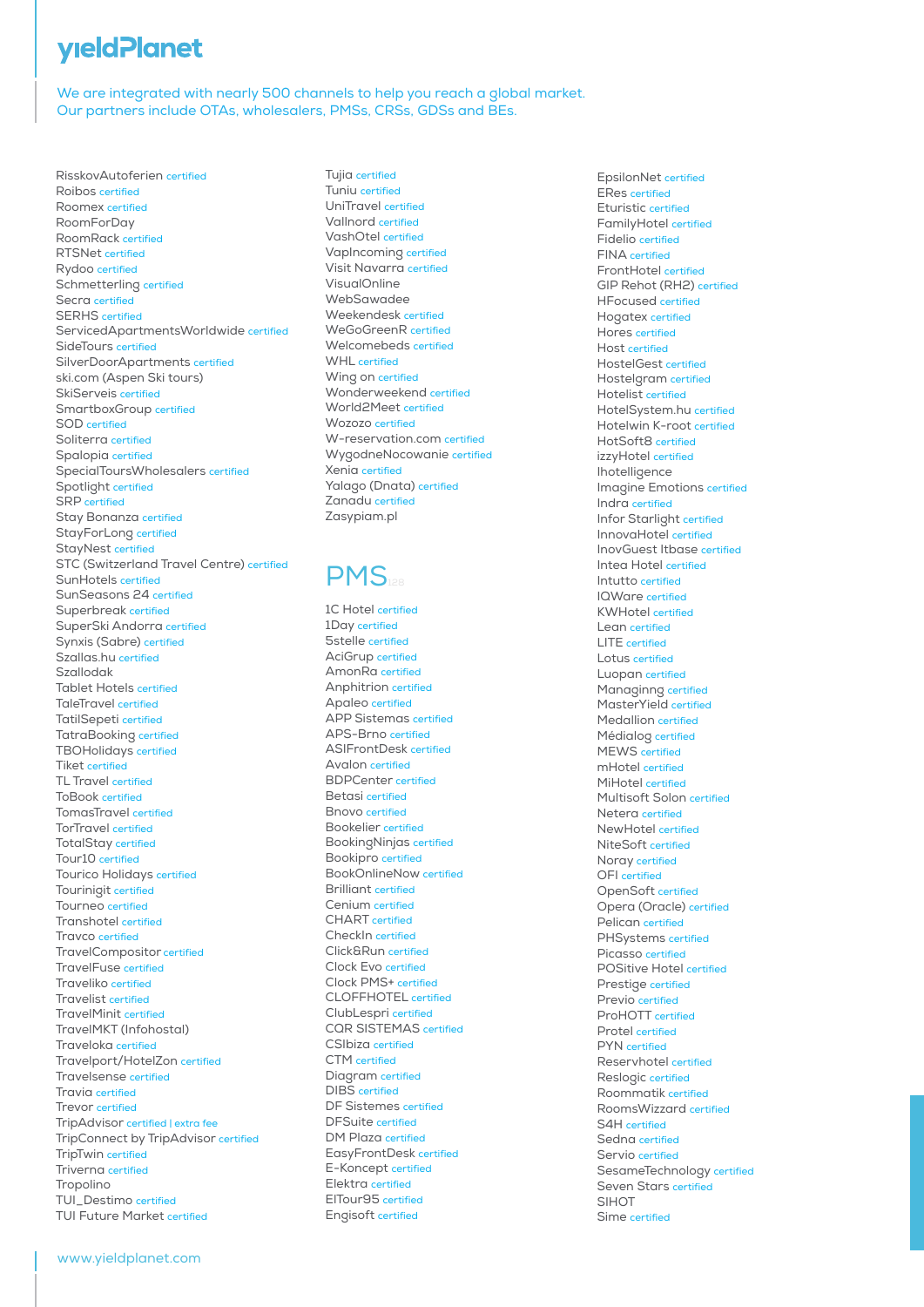# **yield Planet**

We are integrated with nearly 500 channels to help you reach a global market. Our partners include OTAs, wholesalers, PMSs, CRSs, GDSs and BEs.

RisskovAutoferien certified Roibos certified Roomex certified RoomForDay RoomRack certified RTSNet certified Rydoo certified Schmetterling certified Secra certified SERHS certified ServicedApartmentsWorldwide certified SideTours certified SilverDoorApartments certified ski.com (Aspen Ski tours) SkiServeis certified SmartboxGroup certified SOD certified Soliterra certified Spalopia certified SpecialToursWholesalers certified Spotlight certified SRP certified Stay Bonanza certified StayForLong certified StayNest certified STC (Switzerland Travel Centre) certified SunHotels certified SunSeasons 24 certified Superbreak certified SuperSki Andorra certified Synxis (Sabre) certified Szallas.hu certified Szallodak Tablet Hotels certified TaleTravel certified TatilSepeti certified TatraBooking certified TBOHolidays certified Tiket certified TL Travel certified ToBook certified TomasTravel certified TorTravel certified TotalStay certified Tour10 certified Tourico Holidays certified Tourinigit certified Tourneo certified Transhotel certified Travco certified TravelCompositor certified TravelFuse certified Traveliko certified Travelist certified TravelMinit certified TravelMKT (Infohostal) Traveloka certified Travelport/HotelZon certified Travelsense certified Travia certified Trevor certified TripAdvisor certified | extra fee TripConnect by TripAdvisor certified TripTwin certified Triverna certified **Tropolino** TUI\_Destimo certified TUI Future Market certified

Tujia certified Tuniu certified UniTravel certified Vallnord certified VashOtel certified VapIncoming certified Visit Navarra certified VisualOnline WebSawadee Weekendesk certified WeGoGreenR certified Welcomebeds certified WHL certified Wing on certified Wonderweekend certified World2Meet certified Wozozo certified W-reservation.com certified WygodneNocowanie certified Xenia certified Yalago (Dnata) certified Zanadu certified Zasypiam.pl

#### **PMS**

1C Hotel certified 1Day certified 5stelle certified AciGrup certified AmonRa certified Anphitrion certified Apaleo certified APP Sistemas certified APS-Brno certified ASIFrontDesk certified Avalon certified BDPCenter certified Betasi certified Bnovo certified Bookelier certified BookingNinjas certified Bookipro certified BookOnlineNow certified Brilliant certified Cenium certified CHART certified CheckIn certified Click&Run certified Clock Evo certified Clock PMS+ certified CLOFFHOTEL certified ClubLespri certified CQR SISTEMAS certified CSIbiza certified CTM certified Diagram certified DIBS certified DF Sistemes certified DFSuite certified DM Plaza certified EasyFrontDesk certified E-Koncept certified Elektra certified ElTour95 certified Engisoft certified

EpsilonNet certified ERes certified Eturistic certified FamilyHotel certified Fidelio certified FINA certified FrontHotel certified GIP Rehot (RH2) certified HFocused certified Hogatex certified Hores certified Host certified HostelGest certified Hostelgram certified Hotelist certified HotelSystem.hu certified Hotelwin K-root certified HotSoft8 certified izzyHotel certified Ihotelligence Imagine Emotions certified Indra certified Infor Starlight certified InnovaHotel certified InovGuest Itbase certified Intea Hotel certified Intutto certified IQWare certified KWHotel certified Lean certified LITE certified Lotus certified Luopan certified Managinng certified MasterYield certified Medallion certified Médialog certified MEWS certified mHotel certified MiHotel certified Multisoft Solon certified Netera certified NewHotel certified NiteSoft certified Noray certified OFI certified OpenSoft certified Opera (Oracle) certified Pelican certified PHSystems certified Picasso certified POSitive Hotel certified Prestige certified Previo certified ProHOTT certified Protel certified PYN certified Reservhotel certified Reslogic certified Roommatik certified RoomsWizzard certified S4H certified Sedna certified Servio certified SesameTechnology certified Seven Stars certified **SIHOT** Sime certified